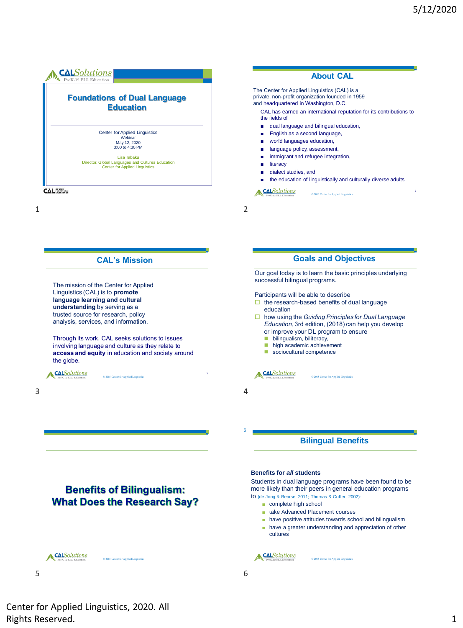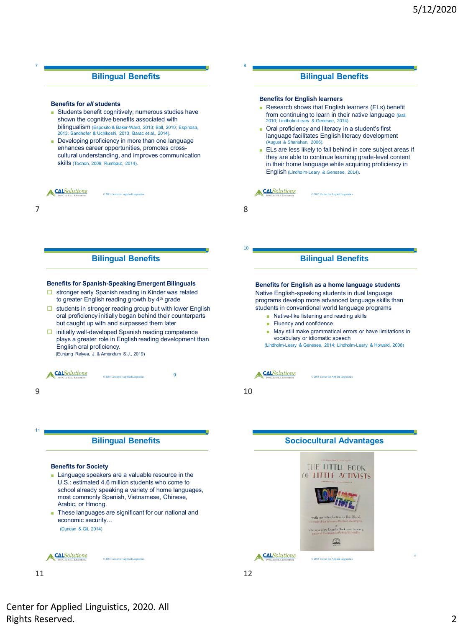#### **Bilingual Benefits**

#### **Benefits for** *all* **students**

7

- Students benefit cognitively; numerous studies have shown the cognitive benefits associated with bilingualism (Esposito & Baker-Ward, 2013; Ball, 2010; Espinosa, 2013; Sandhofer & Uchikoshi, 2013; Barac et al., 2014).
- Developing proficiency in more than one language enhances career opportunities, promotes crosscultural understanding, and improves communication skills (Tochon, 2009; Rumbaut, 2014).

**CALSolutions** © 2015 Center for Applied Linguistics

**Bilingual Benefits**

#### **Benefits for Spanish-Speaking Emergent Bilinguals**

- $\Box$  stronger early Spanish reading in Kinder was related to greater English reading growth by 4<sup>th</sup> grade
- $\Box$  students in stronger reading group but with lower English oral proficiency initially began behind their counterparts but caught up with and surpassed them later
- □ initially well-developed Spanish reading competence plays a greater role in English reading development than English oral proficiency. (Eunjung Relyea, J. & Amendum S.J., 2019)

© 2015 Center for Applied Linguistics

A CALSolutions

11

#### **Bilingual Benefits**

#### **Benefits for Society**

- Language speakers are a valuable resource in the U.S.: estimated 4.6 million students who come to school already speaking a variety of home languages, most commonly Spanish, Vietnamese, Chinese, Arabic, or Hmong.
- These languages are significant for our national and economic security… (Duncan & Gil, 2014)

A CALSolutions

© 2015 Center for Applied Linguistics

11 12

# **Bilingual Benefits**

#### **Benefits for English learners**

- Research shows that English learners (ELs) benefit from continuing to learn in their native language (Ball, 2010; Lindholm-Leary & Genesee, 2014).
- Oral proficiency and literacy in a student's first language facilitates English literacy development (August & Shanahan, 2006).

© 2015 Center for Applied Lin

■ ELs are less likely to fall behind in core subject areas if they are able to continue learning grade-level content in their home language while acquiring proficiency in English (Lindholm-Leary & Genesee, 2014).

#### A CALSolutions

 $7$  8

8

10

## **Bilingual Benefits**

#### **Benefits for English as a home language students**

Native English-speaking students in dual language programs develop more advanced language skills than students in conventional world language programs

- Native-like listening and reading skills
- Fluency and confidence
- May still make grammatical errors or have limitations in vocabulary or idiomatic speech

(Lindholm-Leary & Genesee, 2014; Lindholm-Leary & Howard, 2008)

9 **CAL**Solutions

 $9 \hspace{2.5cm} 10$ 

# **Sociocultural Advantages**



Center for Applied Linguistics, 2020. All Rights Reserved. 2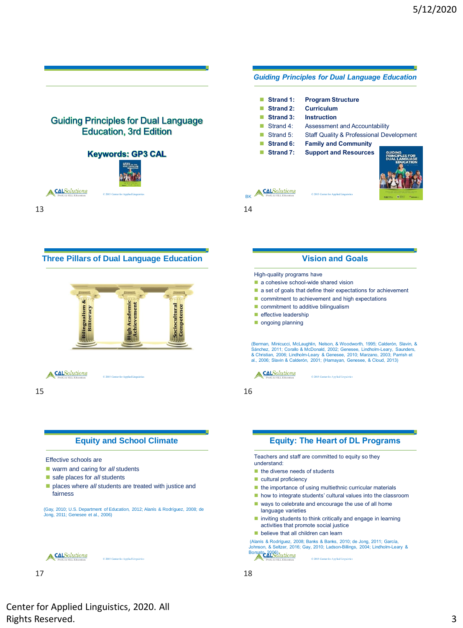

# **Vision and Goals**

- a cohesive school-wide shared vision
- a set of goals that define their expectations for achievement
- commitment to achievement and high expectations
- commitment to additive bilingualism

(Berman, Minicucci, McLaughlin, Nelson, & Woodworth, 1995; Calderón, Slavin, & Sánchez, 2011; Corallo & McDonald, 2002; Genesee, Lindholm-Leary, Saunders & Christian, 2006; Lindholm-Leary & Genesee, 2010; Marzano, 2003; Parrish et al., 2006; Slavin & Calderón, 2001; (Hamayan, Genesee, & Cloud, 2013)

# **Equity: The Heart of DL Programs**

Teachers and staff are committed to equity so they

- $\blacksquare$  the importance of using multiethnic curricular materials
- how to integrate students' cultural values into the classroom
- ways to celebrate and encourage the use of all home
- inviting students to think critically and engage in learning activities that promote social justice
- believe that all children can learn

(Alanís & Rodríguez, 2008; Banks & Banks, 2010; de Jong, 2011; García, Johnson, & Seltzer, 2016; Gay, 2010; Ladson-Billings, 2004; Lindholm-Leary & Borsato, 2006) Lutions

© 2015 Center for Applied Linguistics ©2016 Center for Applied Linguistics 18

Center for Applied Linguistics, 2020. All Rights Reserved. 3

A CALSolutions

© 2015 Center for Applied Linguistics

©2016 Center for Applied Linguistics 17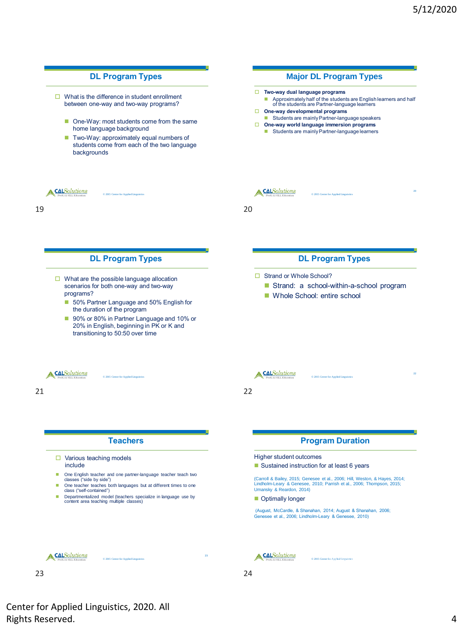

Center for Applied Linguistics, 2020. All Rights Reserved. 4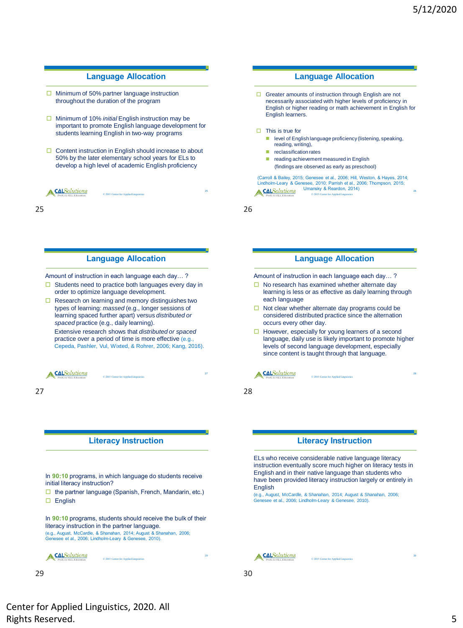28

30

# **Language Allocation**

- $\Box$  Minimum of 50% partner language instruction throughout the duration of the program
- □ Minimum of 10% *initial* English instruction may be important to promote English language development for students learning English in two-way programs
- $\Box$  Content instruction in English should increase to about 50% by the later elementary school years for ELs to develop a high level of academic English proficiency

© 2015 Center for Applied Linguistics

A CALSolutions

25 26

#### **Language Allocation**

Amount of instruction in each language each day… ?

- $\Box$  Students need to practice both languages every day in order to optimize language development.
- $\Box$  Research on learning and memory distinguishes two types of learning: *massed* (e.g., longer sessions of learning spaced further apart) versus *distributed or spaced* practice (e.g., daily learning).

Extensive research shows that *distributed or spaced*  practice over a period of time is more effective (e.g., Cepeda, Pashler, Vul, Wixted, & Rohrer, 2006; Kang, 2016).

© 2015 Center for Applied Linguistics

**CALSolutions** 

#### **Literacy Instruction**

In **90:10** programs, in which language do students receive initial literacy instruction?

 $\Box$  the partner language (Spanish, French, Mandarin, etc.) English

In **90:10** programs, students should receive the bulk of their literacy instruction in the partner language. (e.g., August, McCardle, & Shanahan, 2014; August & Shanahan, 2006; Genesee et al., 2006; Lindholm-Leary & Genesee, 2010).

© 2015 Center for Applied Linguistics

 $29$  30

### **Language Allocation**

- $\Box$  Greater amounts of instruction through English are not necessarily associated with higher levels of proficiency in English or higher reading or math achievement in English for English learners.
- $\Box$  This is true for
	- level of English language proficiency (listening, speaking, reading, writing),
	- reclassification rates
	- reading achievement measured in English (findings are observed as early as preschool)

(Carroll & Bailey, 2015; Genesee et al., 2006; Hill, Weston, & Hayes, 2014; Lindholm-Leary & Genesee, 2010; Parrish et al., 2006; Thompson, 2015; Umansky & Reardon, 2014) A CALSolutions © 2015 Center for Applied Linguistics

#### **Language Allocation**

Amount of instruction in each language each day… ?

- $\Box$  No research has examined whether alternate day learning is less or as effective as daily learning through each language
- $\Box$  Not clear whether alternate day programs could be considered distributed practice since the alternation occurs every other day.
- $\Box$  However, especially for young learners of a second language, daily use is likely important to promote higher levels of second language development, especially since content is taught through that language.

© 2015 Center for Applied Linguistics

### **CALSolutions**

27 28

#### **Literacy Instruction**

ELs who receive considerable native language literacy instruction eventually score much higher on literacy tests in English and in their native language than students who have been provided literacy instruction largely or entirely in English

(e.g., August, McCardle, & Shanahan, 2014; August & Shanahan, 2006; Genesee et al., 2006; Lindholm-Leary & Genesee, 2010).



© 2015 Center for Applied Linguistics

29

Center for Applied Linguistics, 2020. All Rights Reserved. 5

A CALSolutions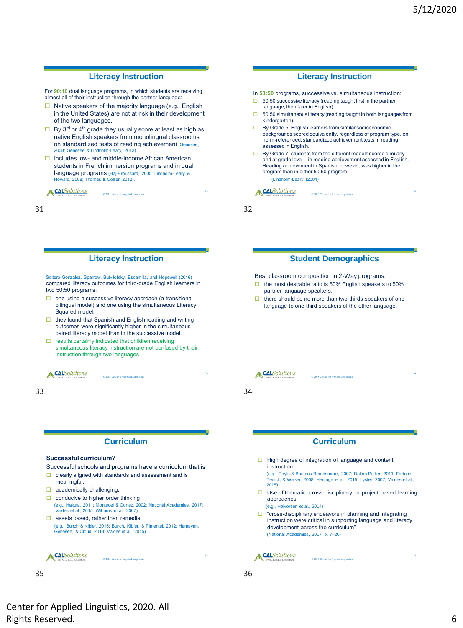## **Literacy Instruction**

For **90:10** dual language programs, in which students are receiving almost all of their instruction through the partner language:

- $\Box$  Native speakers of the majority language (e.g., English in the United States) are not at risk in their development of the two languages.
- $\Box$  By 3<sup>rd</sup> or 4<sup>th</sup> grade they usually score at least as high as native English speakers from monolingual classrooms on standardized tests of reading achievement (Genesee, 2008; Genesee & Lindholm-Leary, 2013).
- $\Box$  Includes low- and middle-income African American students in French immersion programs and in dual language programs (Haj-Broussard, 2005; Lindholm-Leary & ard, 2008; Thomas & Collier, 2012).

© 2015 Center for Applied Linguistics

**CALSolutions** 

31 32

#### **Literacy Instruction**

Soltero-González, Sparrow, Butvilofsky, Escamilla, and Hopewell (2016) compared literacy outcomes for third-grade English learners in two 50:50 programs:

- $\Box$  one using a successive literacy approach (a transitional bilingual model) and one using the simultaneous Literacy Squared model;
- $\Box$  they found that Spanish and English reading and writing outcomes were significantly higher in the simultaneous paired literacy model than in the successive model.
- $\square$  results certainly indicated that children receiving simultaneous literacy instruction are not confused by their instruction through two languages

© 2015 Center for Applied Linguistics



## **Curriculum**

#### **Successful curriculum?**

- Successful schools and programs have a curriculum that is  $\Box$  clearly aligned with standards and assessment and is
- meaningful,
- $\Box$  academically challenging,
- $\Box$  conducive to higher order thinking (e.g., Hakuta, 2011; Montecel & Cortez, 2002; National Academies, 2017; Valdés et al., 2015; Williams et al., 2007)
- $\Box$  assets based, rather than remedial (e.g., Bunch & Kibler, 2015; Bunch, Kibler, & Pimentel, 2012; Hamayan, Genesee, & Cloud, 2013; Valdés et al., 2015)

© 2015 Center for Applied Linguistics

**CALSolutions** 

35 36

# **Literacy Instruction** In **50:50** programs, successive vs. simultaneous instruction:

- $\Box$  50:50 successive literacy (reading taught first in the partner
- language, then later in English)
- $\Box$  50:50 simultaneous literacy (reading taught in both languages from kindergarten).
- □ By Grade 5, English learners from similar socioeconomic backgrounds scored equivalently, regardless of program type, on norm-referenced, standardized achievement tests in reading assessed in English.
- $\Box$  By Grade 7, students from the different models scored similarlyand at grade level—in reading achievement assessed in English. Reading achievement in Spanish, however, was higher in the program than in either 50:50 program. (Lindholm-Leary (2004)

© 2015 Center for Applied Lin

#### **CALSolutions**

31

## **Student Demographics**

Best classroom composition in 2-Way programs:

- $\Box$  the most desirable ratio is 50% English speakers to 50% partner language speakers.
- $\Box$  there should be no more than two-thirds speakers of one language to one-third speakers of the other language.

**CALSolutions** 

© 2015 Center for Applied Linguistics

33 34

# **Curriculum**

 $\Box$  High degree of integration of language and content instruction

(e.g., Coyle & Baetens-Beardsmore, 2007; Dalton-Puffer, 2011; Fortune, Tedick, & Walker, 2008; Heritage et al., 2015; Lyster, 2007; Valdés et al., 2015).

 $\square$  Use of thematic, cross-disciplinary, or project-based learning approaches

(e.g., Halvorsen et al., 2014)

 $\Box$  "cross-disciplinary endeavors in planning and integrating instruction were critical in supporting language and literacy development across the curriculum" (National Academies, 2017, p. 7–20)

© 2015 Center for Applied Linguistics

A CALSolutions

Center for Applied Linguistics, 2020. All Rights Reserved. 6

36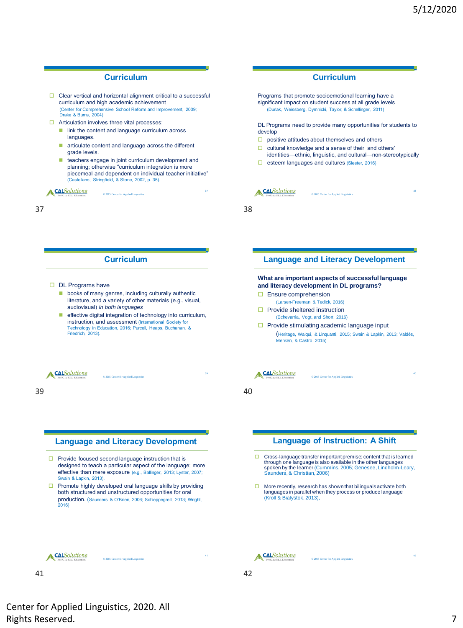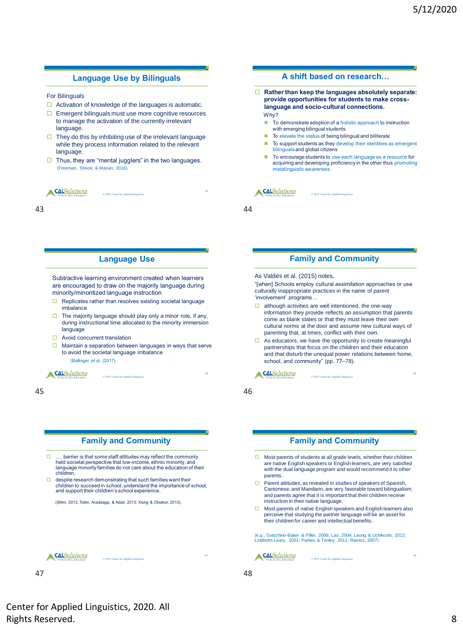### **Language Use by Bilinguals**

For Bilinguals

- $\Box$  Activation of knowledge of the languages is automatic.
- $\Box$  Emergent bilinguals must use more cognitive resources to manage the activation of the currently irrelevant language.
- $\Box$  They do this by inhibiting use of the irrelevant language while they process information related to the relevant language.
- $\Box$  Thus, they are "mental jugglers" in the two languages. (Freeman, Shook, & Marian, 2016).

© 2015 Center for Applied Linguistics

A CALSolutions

43 44

## **Language Use**

Subtractive learning environment created when learners are encouraged to draw on the majority language during minority/minoritized language instruction

- $\Box$  Replicates rather than resolves existing societal language imbalance
- $\Box$  The majority language should play only a minor role, if any, during instructional time allocated to the minority immersion language
- □ Avoid concurrent translation
- $\Box$  Maintain a separation between languages in ways that serve to avoid the societal language imbalance (Ballinger et al. (2017)

© 2015 Center for Applied Linguistics

A CALSolutions

45 46

## **Family and Community**

- □ .... barrier is that some staff attitudes may reflect the commonly held societal perspective that low-income, ethnic minority, and language minority families do not care about the education of their children,
- $\Box$  despite research demonstrating that such families want their children to succeed in school, understand the importance of school, and support their children's school experience.

(Shim, 2013; Tobin, Arzubiaga, & Adair, 2013; Xiong & Obiakor, 2013).

**CALSolutions** 

© 2015 Center for Applied Linguistics

47 48

Center for Applied Linguistics, 2020. All Rights Reserved. 8

#### **A shift based on research…**

 **Rather than keep the languages absolutely separate: provide opportunities for students to make crosslanguage and socio-cultural connections.**

Why?

- To demonstrate adoption of a holistic approach to instruction with emerging bilingual students
- To elevate the status of being bilingual and biliterate

© 2015 Center for Applied Lin

- To support students as they develop their identities as emergent bilinguals and global citizens
- To encourage students to use each language as a resource for acquiring and developing proficiency in the other thus promoting metalinguistic awareness

A CALSolutions

43

#### **Family and Community**

As Valdés et al. (2015) notes,

"[when] Schools employ cultural assimilation approaches or use culturally inappropriate practices in the name of parent 'involvement' programs…

- $\Box$  although activities are well intentioned, the one-way information they provide reflects an assumption that parents come as blank slates or that they must leave their own cultural norms at the door and assume new cultural ways of parenting that, at times, conflict with their own.
- $\Box$  As educators, we have the opportunity to create meaningful partnerships that focus on the children and their education and that disturb the unequal power relations between home, school, and community" (pp. 77–78).

© 2015 Center for Applied Linguistics

46

48

**CALSolutions** 

## **Family and Community**

- Most parents of students at all grade levels, whether their children are native English speakers or English learners, are very satisfied with the dual language program and would recommend it to other parents.
- $\Box$  Parent attitudes, as revealed in studies of speakers of Spanish, Cantonese, and Mandarin, are very favorable toward bilingualism, and parents agree that it is important that their children receive instruction in their native language.
- □ Most parents of native English speakers and English learners also perceive that studying the partner language will be an asset for their children for career and intellectual benefits.

(e.g., Giacchino-Baker & Piller, 2006; Lao, 2004; Leung & Uchikoshi, 2012; Lindholm-Leary, 2001; Parkes & Tenley, 2011; Ramos, 2007)

© 2015 Center for Applied Linguistics

A CALSolutions

47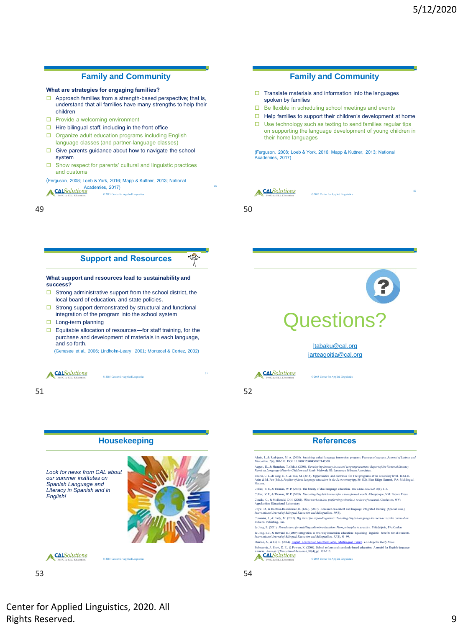#### **Family and Community**

#### **What are strategies for engaging families?**

- $\Box$  Approach families from a strength-based perspective; that is, understand that all families have many strengths to help their children
- $\Box$  Provide a welcoming environment
- $\Box$  Hire bilingual staff, including in the front office
- Organize adult education programs including English language classes (and partner-language classes)
- $\Box$  Give parents guidance about how to navigate the school system
- $\square$  Show respect for parents' cultural and linguistic practices and customs
- Academies, 2017)<br>  $\frac{1.8}{1.2}$   $\qquad \qquad 0.2015$  Center for Applied Linguistics (Ferguson, 2008; Loeb & York, 2016; Mapp & Kuttner, 2013; National

#### **Support and Resources**

**What support and resources lead to sustainability and success?**

- $\Box$  Strong administrative support from the school district, the local board of education, and state policies.
- $\Box$  Strong support demonstrated by structural and functional integration of the program into the school system
- $\Box$  Long-term planning
- $\Box$  Equitable allocation of resources—for staff training, for the purchase and development of materials in each language, and so forth.

© 2015 Center for Applied Linguistics

(Genesee et al., 2006; Lindholm-Leary, 2001; Montecel & Cortez, 2002)





53 54

## **Family and Community**

- $\Box$  Translate materials and information into the languages spoken by families
- $\Box$  Be flexible in scheduling school meetings and events
- $\Box$  Help families to support their children's development at home
- $\Box$  Use technology such as texting to send families regular tips on supporting the language development of young children in their home languages

(Ferguson, 2008; Loeb & York, 2016; Mapp & Kuttner, 2013; National Academies, 2017)

© 2015 Center for Applied Lin

A CALSolutions

49 50

49l

 $\mathbb{Q}_7$ 

51



[ltabaku@cal.org](mailto:ltabaku@cal.org) [iarteagoitia@cal.org](mailto:iarteagoitia@cal.org)

A CALSolutions

© 2015 Center for Applied Lin

51 52

## **References**

Alanís, I., & Rodríguez, M. A. (2008). Sustaining a dual language immersion program: Features of success. *Journal of Latinos and Education, 7*(4), 305-319. DOI: 10.1080/15348430802143378 August, D., & Shanahan, T. (Eds.). (2006). *Developing literacy in second-language learners: Report of the National Literacy*<br>Pan*el on Language-Minority Children and Youth.* Mahwah, NJ: Lawrence Erlbaum Associates. Bearse, C. L., de Jong, E. J., & Tsai, M. (2018). Opportunities and dilemmas for TWI programs at the secondary level. In M. B.<br>Arias & M. Fee (Eds.), *Profiles of dual language education in the 21st century* (pp. 86-102). Matters. Collier, V. P., & Thomas, W. P. (2005). The beauty of dual language education. *The TABE Journal, 8*(1), 1–6. Collier, V. P., & Thomas, W. P. (2009). *Educating English learners for a transformed world*. Albuquer Corallo, C., & McDonald, D.H. (2002). *What works in low-performing schools: A review of research.* Charleston, WV:<br>Appalachian Educational Laboratory. Coyle, D., & Baetens-Beardsmore, H. (Eds.). (2007). Research on content and language integrated learning [Special issue]. *International Journal of Bilingual Education and Bilingualism, 10*(5). Cummins, J., & Early, M. (2015). *Big ideas for expanding minds: Teaching English language learners across the curriculum.*  Rubicon Publishing, Inc. de Jong, E. (2011). *Foundations for multilingualism in education: From principles to practice*. de Jong, E.J., & Howard, E. (2009) Integration in two-way immersion education: Equalising linguistic benefits for all students.<br>International Journal of Bilingual Education and Bilingualism, 12(1), 81–99. Duncan, A., & Gil, L. (2014). [English Learners an Asset for Global, Multilingual Future](http://www.ed.gov/blog/2014/02/english-learners-an-asset-for-global-multilingual-future/)*. Los Angeles Daily News*. Echevarría, J., Short, D. E., & Powers, K. (2006). School reform and standards-based education: A model for English-language learners. *Journal of Educational Research*, *99*(4), pp. 195-210.

© 2015 Center for Applied Linguistics